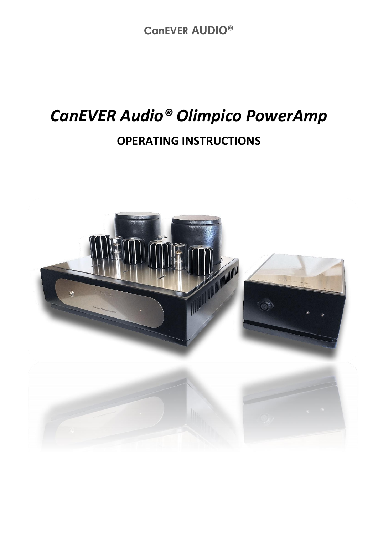**CanEVER AUDIO®**

## *CanEVER Audio® Olimpico PowerAmp* **OPERATING INSTRUCTIONS**

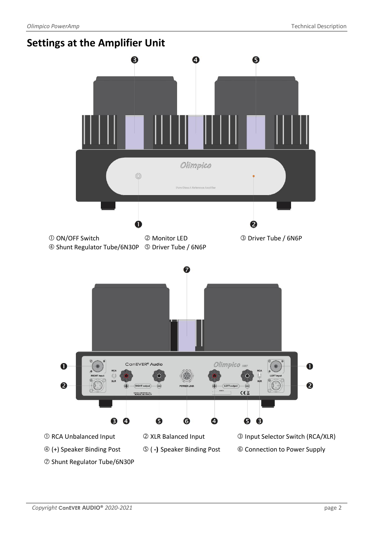Shunt Regulator Tube/6N30P





(+) Speaker Binding Post ( **-)** Speaker Binding Post Connection to Power Supply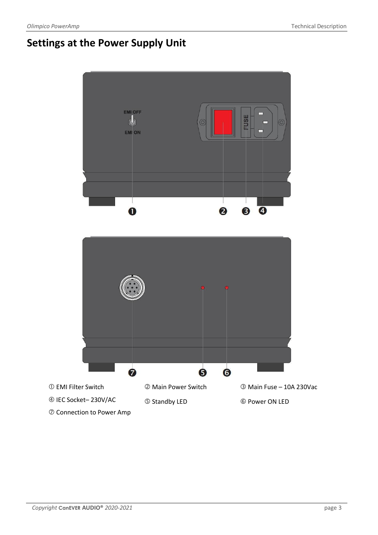## **Settings at the Power Supply Unit**